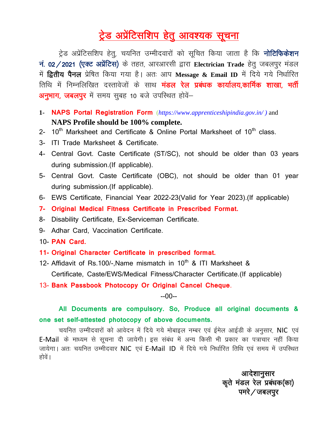## ट्रेड अप्रेंटिसशिप हेतु आवश्यक सूचना

ट्रेड अप्रेंटिसशिप हेतू, चयनित उम्मीदवारों को सूचित किया जाता है कि **नोटिफिकेशन** नं. 02 / 2021 (एक्ट अप्रेंटिस) के तहत, आरआरसी द्वारा Electrician Trade हेत् जबलपुर मंडल में **द्वितीय पैनल** प्रेषित किया गया है। अतः आप Message & Email ID में दिये गये निर्धारित तिथि में निम्नलिखित दस्तावेजों के साथ **मंडल रेल प्रबंधक कार्यालय,कार्मिक शाखा, भर्ती** अनुभाग, जबलपुर में समय सुबह 10 बजे उपस्थित होवें-

- **1- NAPS Portal Registration Form** (*[https://www.apprenticeshipindia.gov.in/ \)](https://www.apprenticeshipindia.gov.in/%20)%20and)* and **NAPS Profile should be 100% complete.**
- 2-  $10^{th}$  Marksheet and Certificate & Online Portal Marksheet of  $10^{th}$  class.
- 3- ITI Trade Marksheet & Certificate.
- 4- Central Govt. Caste Certificate (ST/SC), not should be older than 03 years during submission.(If applicable).
- 5- Central Govt. Caste Certificate (OBC), not should be older than 01 year during submission.(If applicable).
- 6- EWS Certificate, Financial Year 2022-23(Valid for Year 2023).(If applicable)
- **7- Original Medical Fitness Certificate in Prescribed Format.**
- 8- Disability Certificate, Ex-Serviceman Certificate.
- 9- Adhar Card, Vaccination Certificate.
- 10- **PAN Card.**
- **11- Original Character Certificate in prescribed format.**
- 12- Affidavit of Rs.100/-.Name mismatch in 10<sup>th</sup> & ITI Marksheet & Certificate, Caste/EWS/Medical Fitness/Character Certificate.(If applicable)

13- **Bank Passbook Photocopy Or Original Cancel Cheque**.

## --00--

## **All Documents are compulsory. So, Produce all original documents & one set self-attested photocopy of above documents.**

चयनित उम्मीदवारों को आवेदन में दिये गये मोबाइल नम्बर एवं ईमेल आईडी के अनुसार, NIC एवं E-Mail के माध्यम से सूचना दी जायेगी। इस संबंध में अन्य किसी भी प्रकार का पत्राचार नहीं किया जायेगा। अतः चयनित उम्मीदवार NIC एवं E-Mail ID में दिये गये निर्धारित तिथि एवं समय में उपस्थित होवें ।

> आदेशानुसार कुते मंडल रेल प्रबंधक(का) पमरे $/$ जबलपुर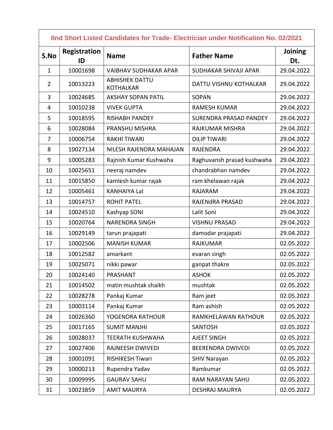| IInd Short Listed Candidates for Trade- Electrician under Notification No. 02/2021 |                           |                                           |                               |                |  |  |
|------------------------------------------------------------------------------------|---------------------------|-------------------------------------------|-------------------------------|----------------|--|--|
| S.No                                                                               | <b>Registration</b><br>ID | <b>Name</b>                               | <b>Father Name</b>            | Joining<br>Dt. |  |  |
| $\mathbf{1}$                                                                       | 10001698                  | <b>VAIBHAV SUDHAKAR APAR</b>              | SUDHAKAR SHIVAJI APAR         | 29.04.2022     |  |  |
| $\overline{2}$                                                                     | 10013223                  | <b>ABHISHEK DATTU</b><br><b>KOTHALKAR</b> | DATTU VISHNU KOTHALKAR        | 29.04.2022     |  |  |
| 3                                                                                  | 10024685                  | <b>AKSHAY SOPAN PATIL</b>                 | <b>SOPAN</b>                  | 29.04.2022     |  |  |
| 4                                                                                  | 10010238                  | <b>VIVEK GUPTA</b>                        | <b>RAMESH KUMAR</b>           | 29.04.2022     |  |  |
| 5                                                                                  | 10018595                  | <b>RISHABH PANDEY</b>                     | <b>SURENDRA PRASAD PANDEY</b> | 29.04.2022     |  |  |
| 6                                                                                  | 10028084                  | PRANSHU MISHRA                            | RAJKUMAR MISHRA               | 29.04.2022     |  |  |
| $\overline{7}$                                                                     | 10006754                  | <b>RAKHI TIWARI</b>                       | <b>DILIP TIWARI</b>           | 29.04.2022     |  |  |
| 8                                                                                  | 10027134                  | NILESH RAJENDRA MAHAJAN                   | <b>RAJENDRA</b>               | 29.04.2022     |  |  |
| 9                                                                                  | 10005283                  | Rajnish Kumar Kushwaha                    | Raghuvansh prasad kushwaha    | 29.04.2022     |  |  |
| 10                                                                                 | 10025651                  | neeraj namdev                             | chandrabhan namdev            | 29.04.2022     |  |  |
| 11                                                                                 | 10015850                  | kamlesh kumar rajak                       | ram khelawan rajak            | 29.04.2022     |  |  |
| 12                                                                                 | 10005461                  | <b>KANHAIYA Lal</b>                       | RAJARAM                       | 29.04.2022     |  |  |
| 13                                                                                 | 10014757                  | <b>ROHIT PATEL</b>                        | RAJENdRA PRASAD               | 29.04.2022     |  |  |
| 14                                                                                 | 10024510                  | Kashyap SONI                              | Lalit Soni                    | 29.04.2022     |  |  |
| 15                                                                                 | 10020764                  | <b>NARENDRA SINGH</b>                     | <b>VISHNU PRASAD</b>          | 29.04.2022     |  |  |
| 16                                                                                 | 10029149                  | tarun prajapati                           | damodar prajapati             | 29.04.2022     |  |  |
| 17                                                                                 | 10002506                  | <b>MANISH KUMAR</b>                       | <b>RAJKUMAR</b>               | 02.05.2022     |  |  |
| 18                                                                                 | 10012582                  | amarkant                                  | evaran singh                  | 02.05.2022     |  |  |
| 19                                                                                 | 10025071                  | nikki pawar                               | ganpat thakre                 | 02.05.2022     |  |  |
| 20                                                                                 | 10024140                  | PRASHANT                                  | <b>ASHOK</b>                  | 02.05.2022     |  |  |
| 21                                                                                 | 10014502                  | matin mushtak shaikh                      | mushtak                       | 02.05.2022     |  |  |
| 22                                                                                 | 10028278                  | Pankaj Kumar                              | Ram jeet                      | 02.05.2022     |  |  |
| 23                                                                                 | 10003114                  | Pankaj Kumar                              | Ram ashish                    | 02.05.2022     |  |  |
| 24                                                                                 | 10026360                  | YOGENDRA RATHOUR                          | RAMKHELAWAN RATHOUR           | 02.05.2022     |  |  |
| 25                                                                                 | 10017165                  | <b>SUMIT MANJHI</b>                       | SANTOSH                       | 02.05.2022     |  |  |
| 26                                                                                 | 10028037                  | <b>TEERATH KUSHWAHA</b>                   | <b>AJEET SINGH</b>            | 02.05.2022     |  |  |
| 27                                                                                 | 10027406                  | RAJNEESH DWIVEDI                          | BEERENDRA DWIVEDI             | 02.05.2022     |  |  |
| 28                                                                                 | 10001091                  | RISHIKESH Tiwari                          | <b>SHIV Narayan</b>           | 02.05.2022     |  |  |
| 29                                                                                 | 10000213                  | Rupendra Yadav                            | Ramkumar                      | 02.05.2022     |  |  |
| 30                                                                                 | 10009995                  | <b>GAURAV SAHU</b>                        | <b>RAM NARAYAN SAHU</b>       | 02.05.2022     |  |  |
| 31                                                                                 | 10023859                  | <b>AMIT MAURYA</b>                        | <b>DESHRAJ MAURYA</b>         | 02.05.2022     |  |  |